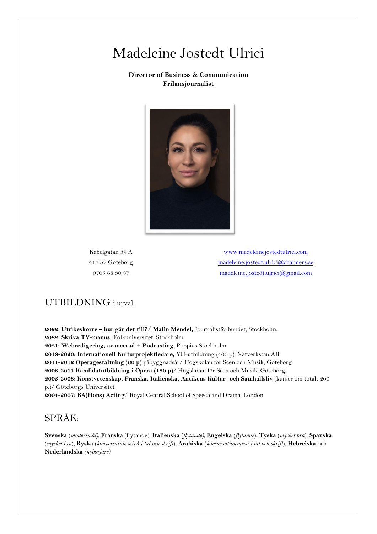## Madeleine Jostedt Ulrici

#### **Director of Business & Communication Frilansjournalist**



Kabelgatan 39 A 414 57 Göteborg 0705 68 30 87

[www.madeleinejostedtulrici.com](http://www.madeleinejostedtulrici.com/) [madeleine.jostedt.ulrici@chalmers.se](mailto:madeleine.jostedt.ulrici@chalmers.se) [madeleine.jostedt.ulrici@gmail.com](mailto:madeleine.jostedt.ulrici@gmail.com)

#### UTBILDNING i urval:

**2022: Utrikeskorre – hur går det till?/ Malin Mendel,** Journalistförbundet, Stockholm. **2022: Skriva TV-manus,** Folkuniversitet, Stockholm. **2021: Webredigering, avancerad + Podcasting**, Poppius Stockholm. **2018-2020: Internationell Kulturprojektledare,** YH-utbildning (400 p), Nätverkstan AB. **2011-2012 Operagestaltning (60 p)** påbyggnadsår/ Högskolan för Scen och Musik, Göteborg **2008-2011 Kandidatutbildning i Opera (180 p)**/ Högskolan för Scen och Musik, Göteborg **2003-2008: Konstvetenskap, Franska, Italienska, Antikens Kultur- och Samhällsliv** (kurser om totalt 200 p.)/ Göteborgs Universitet **2004-2007: BA(Hons) Acting**/ Royal Central School of Speech and Drama, London

#### SPRÅK:

**Svenska** (*modersmål),* **Franska** (flytande), **Italienska** (*flytande),* **Engelska** (*flytande*), **Tyska** (*mycket bra*), **Spanska** (*mycket bra*), **Ryska** (*konversationsnivå i tal och skrift*), **Arabiska** (*konversationsnivå i tal och skrift*), **Hebreiska** och **Nederländska** *(nybörjare)*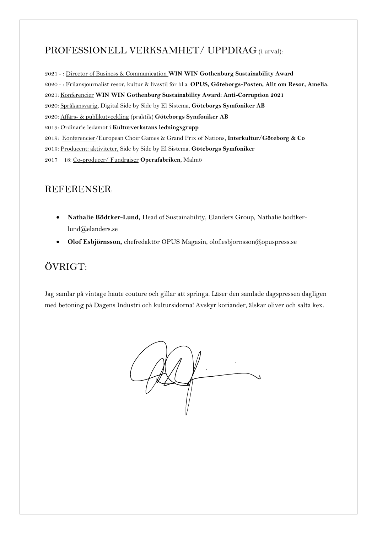## PROFESSIONELL VERKSAMHET/ UPPDRAG (i urval):

2021 - : Director of Business & Communication **WIN WIN Gothenburg Sustainability Award** 2020 - : Frilansjournalist resor, kultur & livsstil för bl.a. **OPUS, Göteborgs-Posten, Allt om Resor, Amelia.** 2021: Konferencier **WIN WIN Gothenburg Sustainability Award: Anti-Corruption 2021** 2020: Språkansvarig, Digital Side by Side by El Sistema, **Göteborgs Symfoniker AB** 2020: Affärs- & publikutveckling (praktik) **Göteborgs Symfoniker AB** 2019: Ordinarie ledamot i **Kulturverkstans ledningsgrupp** 2019: Konferencier/European Choir Games & Grand Prix of Nations, **Interkultur/Göteborg & Co** 2019: Producent: aktiviteter, Side by Side by El Sistema, **Göteborgs Symfoniker** 2017 – 18: Co-producer/ Fundraiser **Operafabriken**, Malmö

## REFERENSER:

- **Nathalie Bödtker-Lund,** Head of Sustainability, Elanders Group, Nathalie.bodtkerlund@elanders.se
- **Olof Esbjörnsson,** chefredaktör OPUS Magasin, olof.esbjornsson@opuspress.se

## ÖVRIGT:

Jag samlar på vintage haute couture och gillar att springa. Läser den samlade dagspressen dagligen med betoning på Dagens Industri och kultursidorna! Avskyr koriander, älskar oliver och salta kex.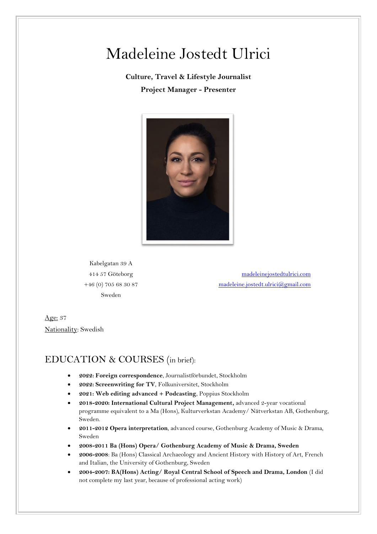# Madeleine Jostedt Ulrici

## **Culture, Travel & Lifestyle Journalist Project Manager - Presenter**



Kabelgatan 39 A 414 57 Göteborg +46 (0) 705 68 30 87 Sweden

 <madeleinejostedtulrici.com> [madeleine.jostedt.ulrici@gmail.com](mailto:madeleine.jostedt.ulrici@gmail.com)

Age: 37 Nationality: Swedish

## EDUCATION & COURSES (in brief):

- **2022: Foreign correspondence**, Journalistförbundet, Stockholm
- **2022: Screenwriting for TV**, Folkuniversitet, Stockholm
- **2021: Web editing advanced + Podcasting**, Poppius Stockholm
- **2018-2020: International Cultural Project Management,** advanced 2-year vocational programme equivalent to a Ma (Hons), Kulturverkstan Academy/ Nätverkstan AB, Gothenburg, Sweden.
- **2011-2012 Opera interpretation**, advanced course, Gothenburg Academy of Music & Drama, Sweden
- **2008-2011 Ba (Hons) Opera/ Gothenburg Academy of Music & Drama, Sweden**
- **2006-2008**: Ba (Hons) Classical Archaeology and Ancient History with History of Art, French and Italian, the University of Gothenburg, Sweden
- **2004-2007: BA(Hons) Acting/ Royal Central School of Speech and Drama, London** (I did not complete my last year, because of professional acting work)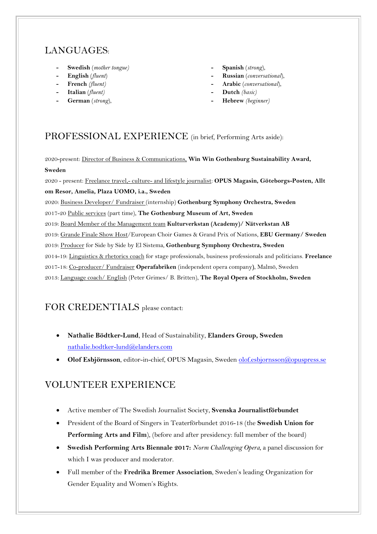## LANGUAGES:

- **- Swedish** (*mother tongue)*
- **- English** (*fluent*)
- **- French** *(fluent)*
- **- Italian** (*fluent)*
- **- German** (*strong*),
- **- Spanish** (*strong*),
- **- Russian** (*conversational*),
- **- Arabic** (*conversational*),
- **- Dutch** *(basic)*
- **- Hebrew** *(beginner)*

#### PROFESSIONAL EXPERIENCE (in brief, Performing Arts aside):

2020-present: Director of Business & Communications, **Win Win Gothenburg Sustainability Award, Sweden**

2020 - present: Freelance travel,- culture- and lifestyle journalist: **OPUS Magasin, Göteborgs-Posten, Allt om Resor, Amelia, Plaza UOMO, i.a., Sweden**

2020: Business Developer/ Fundraiser (internship) **Gothenburg Symphony Orchestra, Sweden**

2017-20 Public services (part time), **The Gothenburg Museum of Art, Sweden**

2019: Board Member of the Management team **Kulturverkstan (Academy)/ Nätverkstan AB**

2019: Grande Finale Show Host/European Choir Games & Grand Prix of Nations, **EBU Germany/ Sweden**

2019: Producer for Side by Side by El Sistema, **Gothenburg Symphony Orchestra, Sweden**

2014-19: Linguistics & rhetorics coach for stage professionals, business professionals and politicians. **Freelance**

2017-18: Co-producer/ Fundraiser **Operafabriken** (independent opera company**)**, Malmö, Sweden

2013: Language coach/ English (Peter Grimes/ B. Britten), **The Royal Opera of Stockholm, Sweden**

## FOR CREDENTIALS please contact:

- **Nathalie Bödtker-Lund**, Head of Sustainability, **Elanders Group, Sweden** [nathalie.bodtker-lund@elanders.com](mailto:nathalie.bodtker-lund@elanders.com)
- **Olof Esbjörnsson**, editor-in-chief, OPUS Magasin, Sweden [olof.esbjornsson@opuspress.se](mailto:olof.esbjornsson@opuspress.se)

## VOLUNTEER EXPERIENCE

- Active member of The Swedish Journalist Society, **Svenska Journalistförbundet**
- President of the Board of Singers in Teaterförbundet 2016-18 (the **Swedish Union for Performing Arts and Film**), (before and after presidency: full member of the board)
- **Swedish Performing Arts Biennale 2017:** *Norm Challenging Opera,* a panel discussion for which I was producer and moderator.
- Full member of the **Fredrika Bremer Association**, Sweden's leading Organization for Gender Equality and Women's Rights.